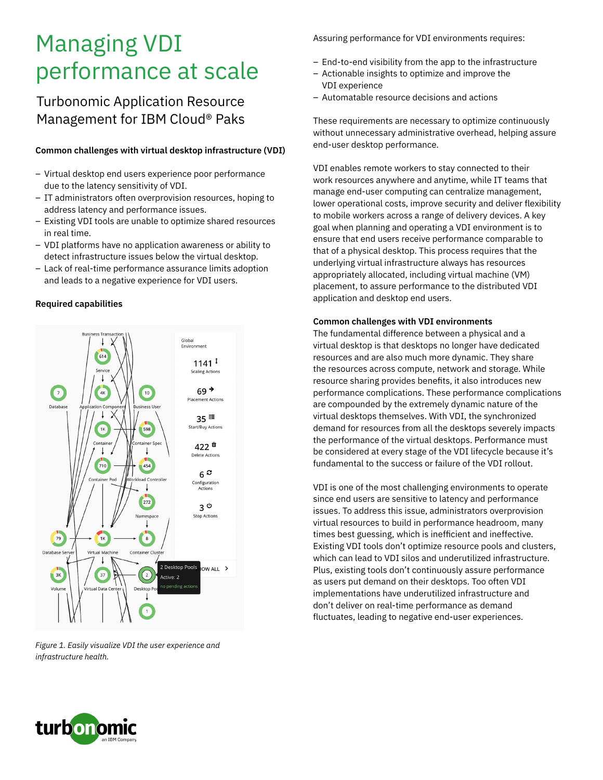# Managing VDI performance at scale

# Turbonomic Application Resource Management for IBM Cloud® Paks

#### **Common challenges with virtual desktop infrastructure (VDI)**

- Virtual desktop end users experience poor performance due to the latency sensitivity of VDI.
- IT administrators often overprovision resources, hoping to address latency and performance issues.
- Existing VDI tools are unable to optimize shared resources in real time.
- VDI platforms have no application awareness or ability to detect infrastructure issues below the virtual desktop.
- Lack of real-time performance assurance limits adoption and leads to a negative experience for VDI users.

#### **Required capabilities**



*Figure 1. Easily visualize VDI the user experience and infrastructure health.*

Assuring performance for VDI environments requires:

- End-to-end visibility from the app to the infrastructure
- Actionable insights to optimize and improve the VDI experience
- Automatable resource decisions and actions

These requirements are necessary to optimize continuously without unnecessary administrative overhead, helping assure end-user desktop performance.

VDI enables remote workers to stay connected to their work resources anywhere and anytime, while IT teams that manage end-user computing can centralize management, lower operational costs, improve security and deliver flexibility to mobile workers across a range of delivery devices. A key goal when planning and operating a VDI environment is to ensure that end users receive performance comparable to that of a physical desktop. This process requires that the underlying virtual infrastructure always has resources appropriately allocated, including virtual machine (VM) placement, to assure performance to the distributed VDI application and desktop end users.

#### **Common challenges with VDI environments**

The fundamental difference between a physical and a virtual desktop is that desktops no longer have dedicated resources and are also much more dynamic. They share the resources across compute, network and storage. While resource sharing provides benefits, it also introduces new performance complications. These performance complications are compounded by the extremely dynamic nature of the virtual desktops themselves. With VDI, the synchronized demand for resources from all the desktops severely impacts the performance of the virtual desktops. Performance must be considered at every stage of the VDI lifecycle because it's fundamental to the success or failure of the VDI rollout.

VDI is one of the most challenging environments to operate since end users are sensitive to latency and performance issues. To address this issue, administrators overprovision virtual resources to build in performance headroom, many times best guessing, which is inefficient and ineffective. Existing VDI tools don't optimize resource pools and clusters, which can lead to VDI silos and underutilized infrastructure. Plus, existing tools don't continuously assure performance as users put demand on their desktops. Too often VDI implementations have underutilized infrastructure and don't deliver on real-time performance as demand fluctuates, leading to negative end-user experiences.